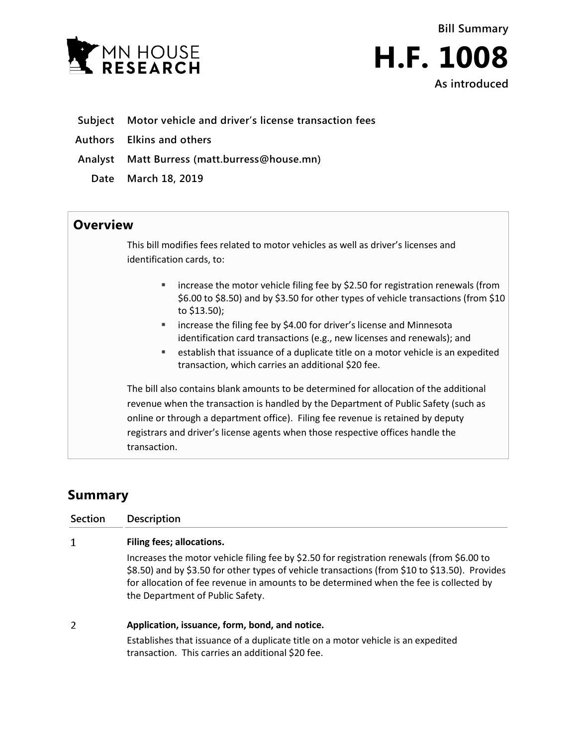

**Bill Summary H.F. 1008**

**As introduced**

**Subject Motor vehicle and driver's license transaction fees**

**Authors Elkins and others**

**Analyst Matt Burress (matt.burress@house.mn)**

**Date March 18, 2019**

## **Overview**

This bill modifies fees related to motor vehicles as well as driver's licenses and identification cards, to:

- **EXED** increase the motor vehicle filing fee by \$2.50 for registration renewals (from \$6.00 to \$8.50) and by \$3.50 for other types of vehicle transactions (from \$10 to \$13.50);
- **EXEDEE FIGHTER IN EXECUTE:** increase the filing fee by \$4.00 for driver's license and Minnesota identification card transactions (e.g., new licenses and renewals); and
- establish that issuance of a duplicate title on a motor vehicle is an expedited transaction, which carries an additional \$20 fee.

The bill also contains blank amounts to be determined for allocation of the additional revenue when the transaction is handled by the Department of Public Safety (such as online or through a department office). Filing fee revenue is retained by deputy registrars and driver's license agents when those respective offices handle the transaction.

## **Summary**

| Section | <b>Description</b>                                                                                                                                                                                                                                                                                                         |
|---------|----------------------------------------------------------------------------------------------------------------------------------------------------------------------------------------------------------------------------------------------------------------------------------------------------------------------------|
| 1       | Filing fees; allocations.                                                                                                                                                                                                                                                                                                  |
|         | Increases the motor vehicle filing fee by \$2.50 for registration renewals (from \$6.00 to<br>\$8.50) and by \$3.50 for other types of vehicle transactions (from \$10 to \$13.50). Provides<br>for allocation of fee revenue in amounts to be determined when the fee is collected by<br>the Department of Public Safety. |
| 2       | Application, issuance, form, bond, and notice.                                                                                                                                                                                                                                                                             |
|         | Establishes that issuance of a dunlicate title on a motor vehicle is an expedited                                                                                                                                                                                                                                          |

Establishes that issuance of a duplicate title on a motor vehicle is an expedited transaction. This carries an additional \$20 fee.